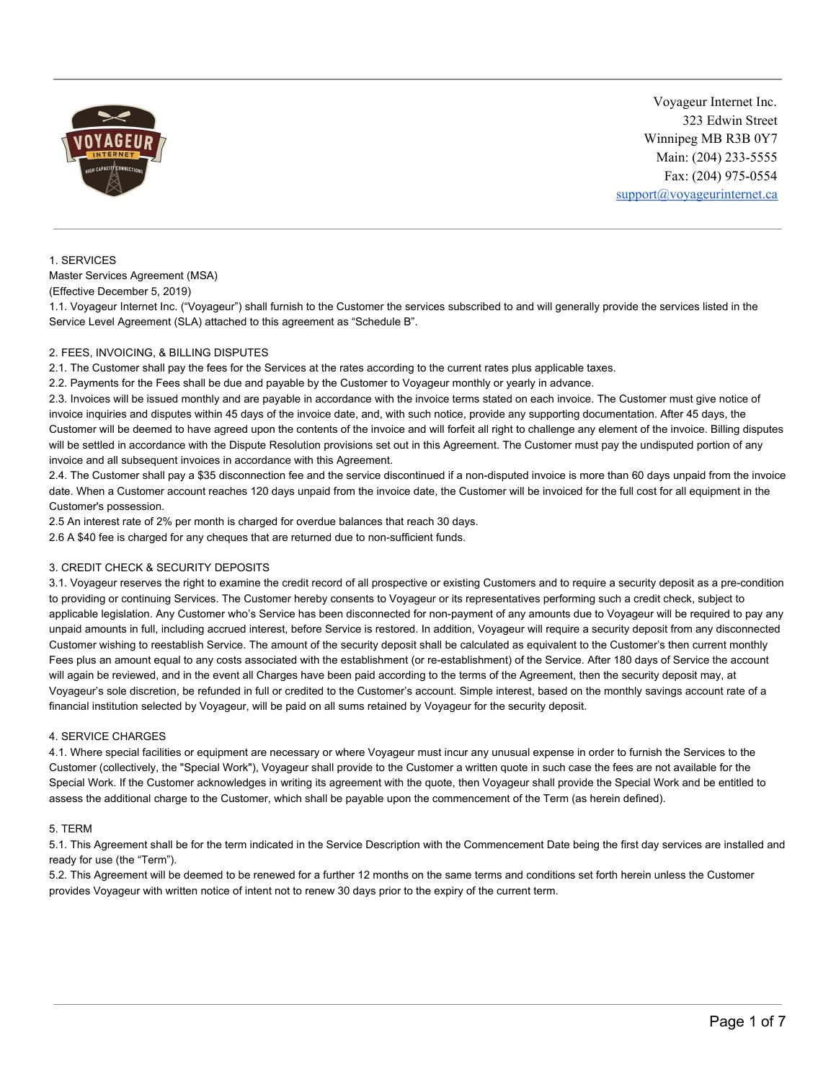

# 1. SERVICES

Master Services Agreement (MSA) (Effective December 5, 2019)

1.1. Voyageur Internet Inc. ("Voyageur") shall furnish to the Customer the services subscribed to and will generally provide the services listed in the Service Level Agreement (SLA) attached to this agreement as "Schedule B".

# 2. FEES, INVOICING, & BILLING DISPUTES

2.1. The Customer shall pay the fees for the Services at the rates according to the current rates plus applicable taxes.

2.2. Payments for the Fees shall be due and payable by the Customer to Voyageur monthly or yearly in advance.

2.3. Invoices will be issued monthly and are payable in accordance with the invoice terms stated on each invoice. The Customer must give notice of invoice inquiries and disputes within 45 days of the invoice date, and, with such notice, provide any supporting documentation. After 45 days, the Customer will be deemed to have agreed upon the contents of the invoice and will forfeit all right to challenge any element of the invoice. Billing disputes will be settled in accordance with the Dispute Resolution provisions set out in this Agreement. The Customer must pay the undisputed portion of any invoice and all subsequent invoices in accordance with this Agreement.

2.4. The Customer shall pay a \$35 disconnection fee and the service discontinued if a non-disputed invoice is more than 60 days unpaid from the invoice date. When a Customer account reaches 120 days unpaid from the invoice date, the Customer will be invoiced for the full cost for all equipment in the Customer's possession.

2.5 An interest rate of 2% per month is charged for overdue balances that reach 30 days.

2.6 A \$40 fee is charged for any cheques that are returned due to non-sufficient funds.

# 3. CREDIT CHECK & SECURITY DEPOSITS

3.1. Voyageur reserves the right to examine the credit record of all prospective or existing Customers and to require a security deposit as a pre-condition to providing or continuing Services. The Customer hereby consents to Voyageur or its representatives performing such a credit check, subject to applicable legislation. Any Customer who's Service has been disconnected for non-payment of any amounts due to Voyageur will be required to pay any unpaid amounts in full, including accrued interest, before Service is restored. In addition, Voyageur will require a security deposit from any disconnected Customer wishing to reestablish Service. The amount of the security deposit shall be calculated as equivalent to the Customer's then current monthly Fees plus an amount equal to any costs associated with the establishment (or re-establishment) of the Service. After 180 days of Service the account will again be reviewed, and in the event all Charges have been paid according to the terms of the Agreement, then the security deposit may, at Voyageur's sole discretion, be refunded in full or credited to the Customer's account. Simple interest, based on the monthly savings account rate of a financial institution selected by Voyageur, will be paid on all sums retained by Voyageur for the security deposit.

# 4. SERVICE CHARGES

4.1. Where special facilities or equipment are necessary or where Voyageur must incur any unusual expense in order to furnish the Services to the Customer (collectively, the "Special Work"), Voyageur shall provide to the Customer a written quote in such case the fees are not available for the Special Work. If the Customer acknowledges in writing its agreement with the quote, then Voyageur shall provide the Special Work and be entitled to assess the additional charge to the Customer, which shall be payable upon the commencement of the Term (as herein defined).

# 5. TERM

5.1. This Agreement shall be for the term indicated in the Service Description with the Commencement Date being the first day services are installed and ready for use (the "Term").

5.2. This Agreement will be deemed to be renewed for a further 12 months on the same terms and conditions set forth herein unless the Customer provides Voyageur with written notice of intent not to renew 30 days prior to the expiry of the current term.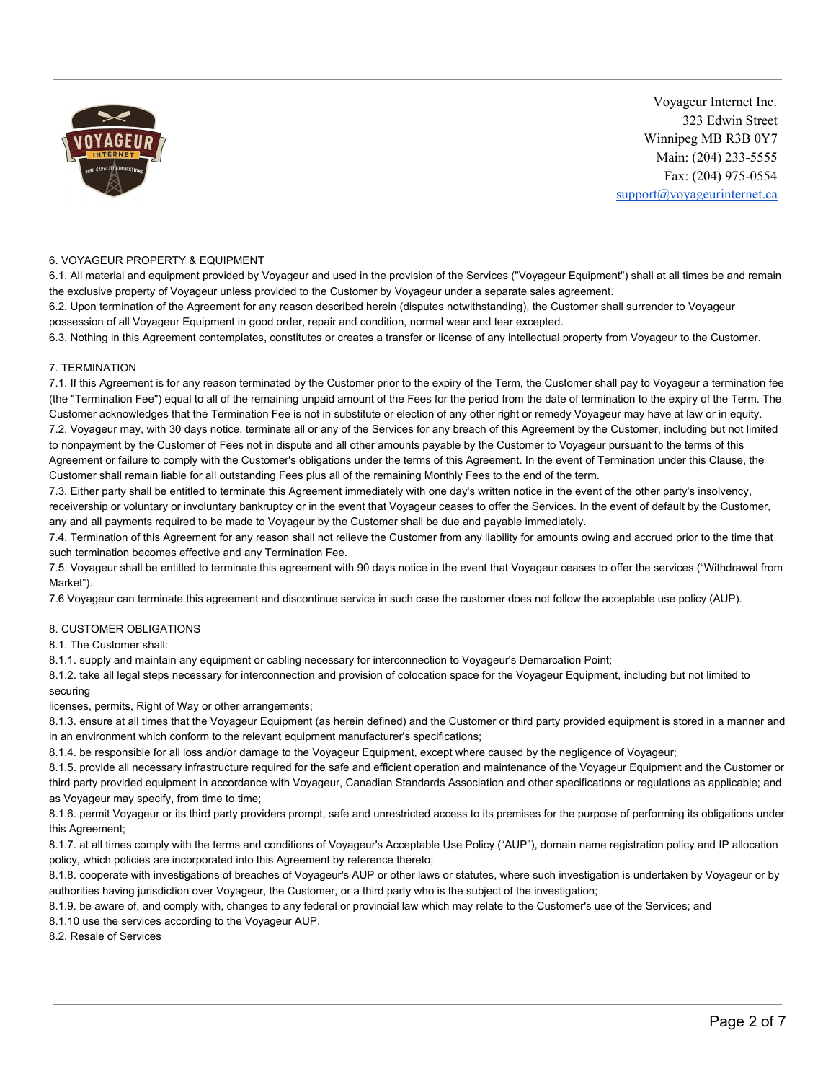

#### 6. VOYAGEUR PROPERTY & EQUIPMENT

6.1. All material and equipment provided by Voyageur and used in the provision of the Services ("Voyageur Equipment") shall at all times be and remain the exclusive property of Voyageur unless provided to the Customer by Voyageur under a separate sales agreement.

6.2. Upon termination of the Agreement for any reason described herein (disputes notwithstanding), the Customer shall surrender to Voyageur possession of all Voyageur Equipment in good order, repair and condition, normal wear and tear excepted.

6.3. Nothing in this Agreement contemplates, constitutes or creates a transfer or license of any intellectual property from Voyageur to the Customer.

#### 7. TERMINATION

7.1. If this Agreement is for any reason terminated by the Customer prior to the expiry of the Term, the Customer shall pay to Voyageur a termination fee (the "Termination Fee") equal to all of the remaining unpaid amount of the Fees for the period from the date of termination to the expiry of the Term. The Customer acknowledges that the Termination Fee is not in substitute or election of any other right or remedy Voyageur may have at law or in equity. 7.2. Voyageur may, with 30 days notice, terminate all or any of the Services for any breach of this Agreement by the Customer, including but not limited to nonpayment by the Customer of Fees not in dispute and all other amounts payable by the Customer to Voyageur pursuant to the terms of this Agreement or failure to comply with the Customer's obligations under the terms of this Agreement. In the event of Termination under this Clause, the Customer shall remain liable for all outstanding Fees plus all of the remaining Monthly Fees to the end of the term.

7.3. Either party shall be entitled to terminate this Agreement immediately with one day's written notice in the event of the other party's insolvency, receivership or voluntary or involuntary bankruptcy or in the event that Voyageur ceases to offer the Services. In the event of default by the Customer, any and all payments required to be made to Voyageur by the Customer shall be due and payable immediately.

7.4. Termination of this Agreement for any reason shall not relieve the Customer from any liability for amounts owing and accrued prior to the time that such termination becomes effective and any Termination Fee.

7.5. Voyageur shall be entitled to terminate this agreement with 90 days notice in the event that Voyageur ceases to offer the services ("Withdrawal from Market").

7.6 Voyageur can terminate this agreement and discontinue service in such case the customer does not follow the acceptable use policy (AUP).

#### 8. CUSTOMER OBLIGATIONS

8.1. The Customer shall:

8.1.1. supply and maintain any equipment or cabling necessary for interconnection to Voyageur's Demarcation Point;

8.1.2. take all legal steps necessary for interconnection and provision of colocation space for the Voyageur Equipment, including but not limited to securing

licenses, permits, Right of Way or other arrangements;

8.1.3. ensure at all times that the Voyageur Equipment (as herein defined) and the Customer or third party provided equipment is stored in a manner and in an environment which conform to the relevant equipment manufacturer's specifications;

8.1.4. be responsible for all loss and/or damage to the Voyageur Equipment, except where caused by the negligence of Voyageur;

8.1.5. provide all necessary infrastructure required for the safe and efficient operation and maintenance of the Voyageur Equipment and the Customer or third party provided equipment in accordance with Voyageur, Canadian Standards Association and other specifications or regulations as applicable; and as Voyageur may specify, from time to time;

8.1.6. permit Voyageur or its third party providers prompt, safe and unrestricted access to its premises for the purpose of performing its obligations under this Agreement;

8.1.7. at all times comply with the terms and conditions of Voyageur's Acceptable Use Policy ("AUP"), domain name registration policy and IP allocation policy, which policies are incorporated into this Agreement by reference thereto;

8.1.8. cooperate with investigations of breaches of Voyageur's AUP or other laws or statutes, where such investigation is undertaken by Voyageur or by authorities having jurisdiction over Voyageur, the Customer, or a third party who is the subject of the investigation;

8.1.9. be aware of, and comply with, changes to any federal or provincial law which may relate to the Customer's use of the Services; and

8.1.10 use the services according to the Voyageur AUP.

8.2. Resale of Services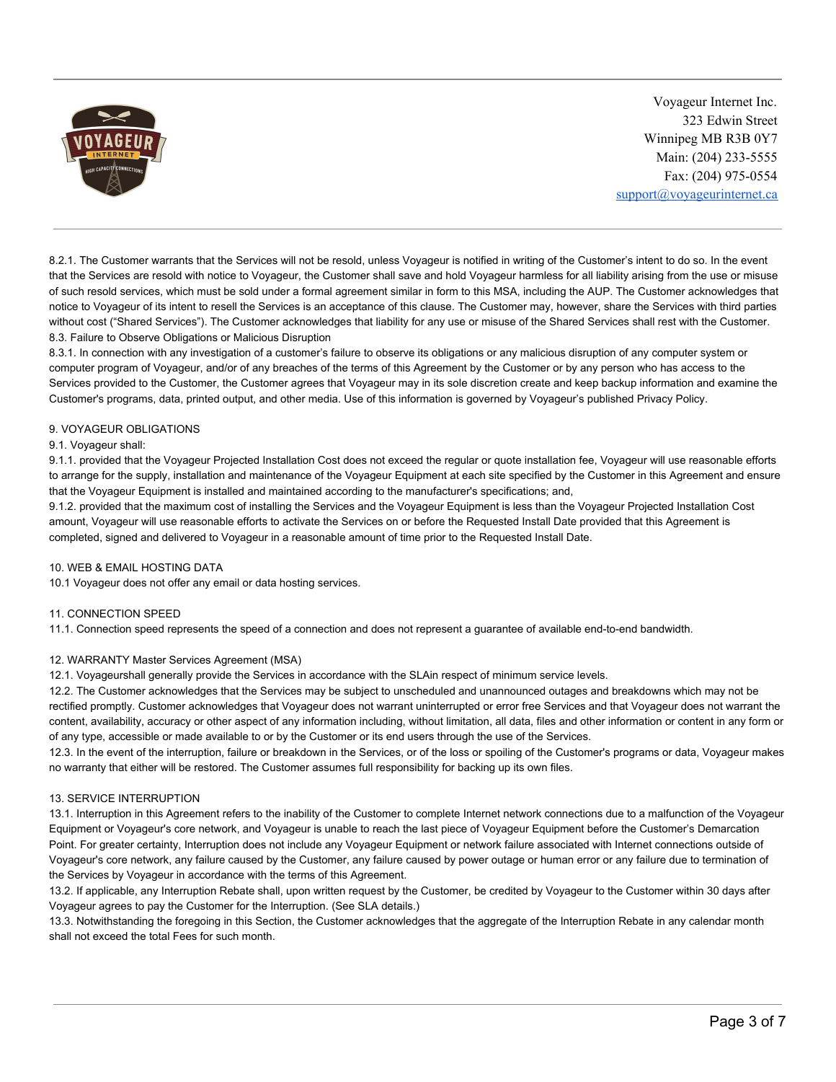

8.2.1. The Customer warrants that the Services will not be resold, unless Voyageur is notified in writing of the Customer's intent to do so. In the event that the Services are resold with notice to Voyageur, the Customer shall save and hold Voyageur harmless for all liability arising from the use or misuse of such resold services, which must be sold under a formal agreement similar in form to this MSA, including the AUP. The Customer acknowledges that notice to Voyageur of its intent to resell the Services is an acceptance of this clause. The Customer may, however, share the Services with third parties without cost ("Shared Services"). The Customer acknowledges that liability for any use or misuse of the Shared Services shall rest with the Customer. 8.3. Failure to Observe Obligations or Malicious Disruption

8.3.1. In connection with any investigation of a customer's failure to observe its obligations or any malicious disruption of any computer system or computer program of Voyageur, and/or of any breaches of the terms of this Agreement by the Customer or by any person who has access to the Services provided to the Customer, the Customer agrees that Voyageur may in its sole discretion create and keep backup information and examine the Customer's programs, data, printed output, and other media. Use of this information is governed by Voyageur's published Privacy Policy.

### 9. VOYAGEUR OBLIGATIONS

#### 9.1. Voyageur shall:

9.1.1. provided that the Voyageur Projected Installation Cost does not exceed the regular or quote installation fee, Voyageur will use reasonable efforts to arrange for the supply, installation and maintenance of the Voyageur Equipment at each site specified by the Customer in this Agreement and ensure that the Voyageur Equipment is installed and maintained according to the manufacturer's specifications; and,

9.1.2. provided that the maximum cost of installing the Services and the Voyageur Equipment is less than the Voyageur Projected Installation Cost amount, Voyageur will use reasonable efforts to activate the Services on or before the Requested Install Date provided that this Agreement is completed, signed and delivered to Voyageur in a reasonable amount of time prior to the Requested Install Date.

#### 10. WEB & EMAIL HOSTING DATA

10.1 Voyageur does not offer any email or data hosting services.

#### 11. CONNECTION SPEED

11.1. Connection speed represents the speed of a connection and does not represent a guarantee of available end-to-end bandwidth.

#### 12. WARRANTY Master Services Agreement (MSA)

12.1. Voyageurshall generally provide the Services in accordance with the SLAin respect of minimum service levels.

12.2. The Customer acknowledges that the Services may be subject to unscheduled and unannounced outages and breakdowns which may not be rectified promptly. Customer acknowledges that Voyageur does not warrant uninterrupted or error free Services and that Voyageur does not warrant the content, availability, accuracy or other aspect of any information including, without limitation, all data, files and other information or content in any form or of any type, accessible or made available to or by the Customer or its end users through the use of the Services.

12.3. In the event of the interruption, failure or breakdown in the Services, or of the loss or spoiling of the Customer's programs or data, Voyageur makes no warranty that either will be restored. The Customer assumes full responsibility for backing up its own files.

#### 13. SERVICE INTERRUPTION

13.1. Interruption in this Agreement refers to the inability of the Customer to complete Internet network connections due to a malfunction of the Voyageur Equipment or Voyageur's core network, and Voyageur is unable to reach the last piece of Voyageur Equipment before the Customer's Demarcation Point. For greater certainty, Interruption does not include any Voyageur Equipment or network failure associated with Internet connections outside of Voyageur's core network, any failure caused by the Customer, any failure caused by power outage or human error or any failure due to termination of the Services by Voyageur in accordance with the terms of this Agreement.

13.2. If applicable, any Interruption Rebate shall, upon written request by the Customer, be credited by Voyageur to the Customer within 30 days after Voyageur agrees to pay the Customer for the Interruption. (See SLA details.)

13.3. Notwithstanding the foregoing in this Section, the Customer acknowledges that the aggregate of the Interruption Rebate in any calendar month shall not exceed the total Fees for such month.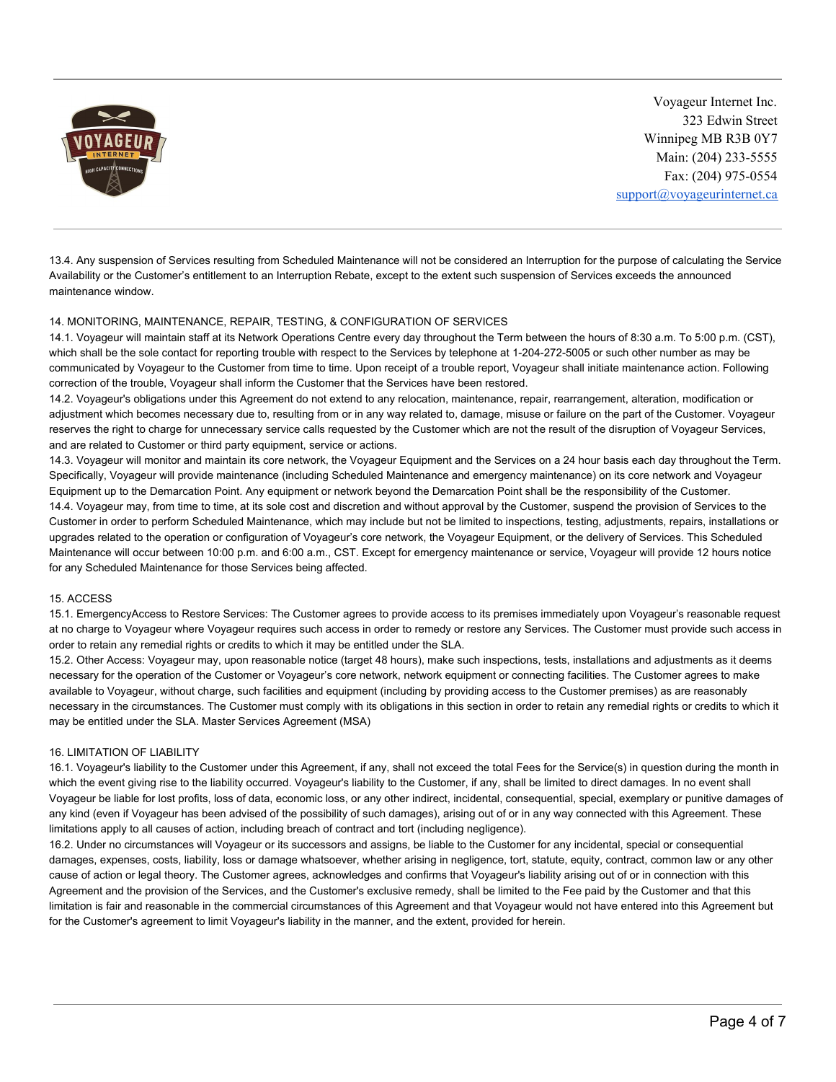

13.4. Any suspension of Services resulting from Scheduled Maintenance will not be considered an Interruption for the purpose of calculating the Service Availability or the Customer's entitlement to an Interruption Rebate, except to the extent such suspension of Services exceeds the announced maintenance window.

# 14. MONITORING, MAINTENANCE, REPAIR, TESTING, & CONFIGURATION OF SERVICES

14.1. Voyageur will maintain staff at its Network Operations Centre every day throughout the Term between the hours of 8:30 a.m. To 5:00 p.m. (CST), which shall be the sole contact for reporting trouble with respect to the Services by telephone at 1-204-272-5005 or such other number as may be communicated by Voyageur to the Customer from time to time. Upon receipt of a trouble report, Voyageur shall initiate maintenance action. Following correction of the trouble, Voyageur shall inform the Customer that the Services have been restored.

14.2. Voyageur's obligations under this Agreement do not extend to any relocation, maintenance, repair, rearrangement, alteration, modification or adjustment which becomes necessary due to, resulting from or in any way related to, damage, misuse or failure on the part of the Customer. Voyageur reserves the right to charge for unnecessary service calls requested by the Customer which are not the result of the disruption of Voyageur Services, and are related to Customer or third party equipment, service or actions.

14.3. Voyageur will monitor and maintain its core network, the Voyageur Equipment and the Services on a 24 hour basis each day throughout the Term. Specifically, Voyageur will provide maintenance (including Scheduled Maintenance and emergency maintenance) on its core network and Voyageur Equipment up to the Demarcation Point. Any equipment or network beyond the Demarcation Point shall be the responsibility of the Customer. 14.4. Voyageur may, from time to time, at its sole cost and discretion and without approval by the Customer, suspend the provision of Services to the Customer in order to perform Scheduled Maintenance, which may include but not be limited to inspections, testing, adjustments, repairs, installations or upgrades related to the operation or configuration of Voyageur's core network, the Voyageur Equipment, or the delivery of Services. This Scheduled Maintenance will occur between 10:00 p.m. and 6:00 a.m., CST. Except for emergency maintenance or service, Voyageur will provide 12 hours notice for any Scheduled Maintenance for those Services being affected.

#### 15. ACCESS

15.1. EmergencyAccess to Restore Services: The Customer agrees to provide access to its premises immediately upon Voyageur's reasonable request at no charge to Voyageur where Voyageur requires such access in order to remedy or restore any Services. The Customer must provide such access in order to retain any remedial rights or credits to which it may be entitled under the SLA.

15.2. Other Access: Voyageur may, upon reasonable notice (target 48 hours), make such inspections, tests, installations and adjustments as it deems necessary for the operation of the Customer or Voyageur's core network, network equipment or connecting facilities. The Customer agrees to make available to Voyageur, without charge, such facilities and equipment (including by providing access to the Customer premises) as are reasonably necessary in the circumstances. The Customer must comply with its obligations in this section in order to retain any remedial rights or credits to which it may be entitled under the SLA. Master Services Agreement (MSA)

# 16. LIMITATION OF LIABILITY

16.1. Voyageur's liability to the Customer under this Agreement, if any, shall not exceed the total Fees for the Service(s) in question during the month in which the event giving rise to the liability occurred. Voyageur's liability to the Customer, if any, shall be limited to direct damages. In no event shall Voyageur be liable for lost profits, loss of data, economic loss, or any other indirect, incidental, consequential, special, exemplary or punitive damages of any kind (even if Voyageur has been advised of the possibility of such damages), arising out of or in any way connected with this Agreement. These limitations apply to all causes of action, including breach of contract and tort (including negligence).

16.2. Under no circumstances will Voyageur or its successors and assigns, be liable to the Customer for any incidental, special or consequential damages, expenses, costs, liability, loss or damage whatsoever, whether arising in negligence, tort, statute, equity, contract, common law or any other cause of action or legal theory. The Customer agrees, acknowledges and confirms that Voyageur's liability arising out of or in connection with this Agreement and the provision of the Services, and the Customer's exclusive remedy, shall be limited to the Fee paid by the Customer and that this limitation is fair and reasonable in the commercial circumstances of this Agreement and that Voyageur would not have entered into this Agreement but for the Customer's agreement to limit Voyageur's liability in the manner, and the extent, provided for herein.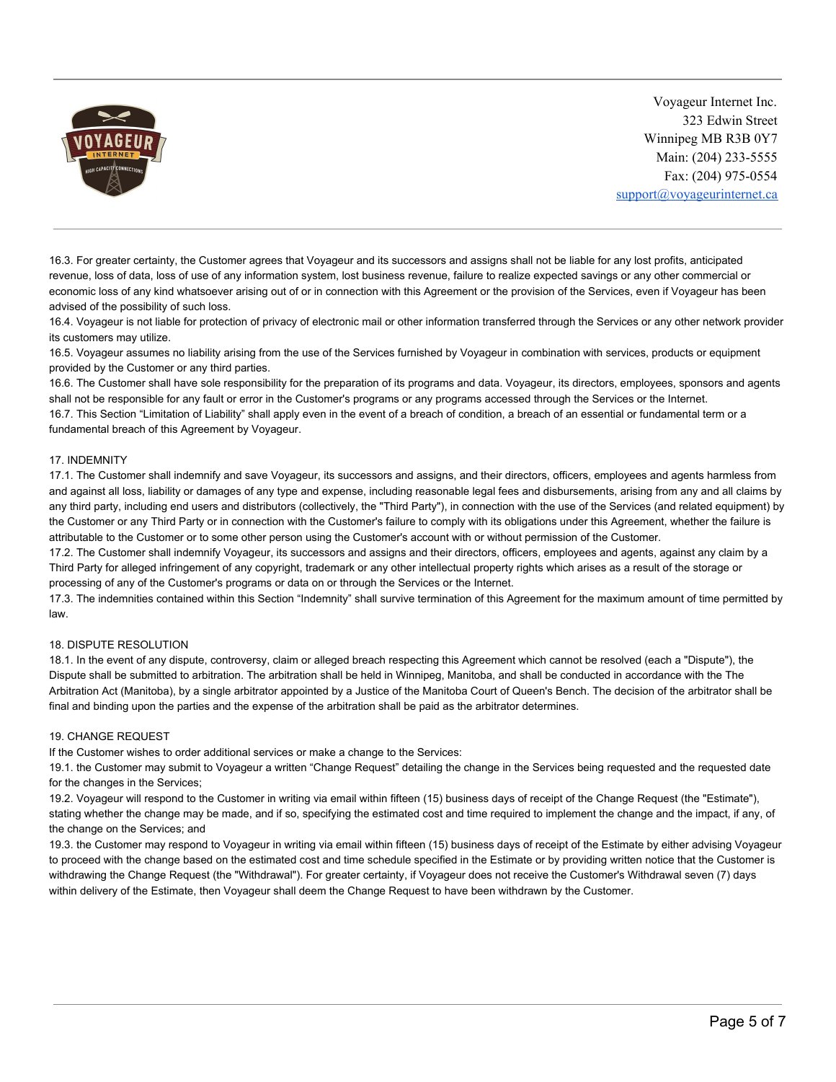

16.3. For greater certainty, the Customer agrees that Voyageur and its successors and assigns shall not be liable for any lost profits, anticipated revenue, loss of data, loss of use of any information system, lost business revenue, failure to realize expected savings or any other commercial or economic loss of any kind whatsoever arising out of or in connection with this Agreement or the provision of the Services, even if Voyageur has been advised of the possibility of such loss.

16.4. Voyageur is not liable for protection of privacy of electronic mail or other information transferred through the Services or any other network provider its customers may utilize.

16.5. Voyageur assumes no liability arising from the use of the Services furnished by Voyageur in combination with services, products or equipment provided by the Customer or any third parties.

16.6. The Customer shall have sole responsibility for the preparation of its programs and data. Voyageur, its directors, employees, sponsors and agents shall not be responsible for any fault or error in the Customer's programs or any programs accessed through the Services or the Internet.

16.7. This Section "Limitation of Liability" shall apply even in the event of a breach of condition, a breach of an essential or fundamental term or a fundamental breach of this Agreement by Voyageur.

### 17. INDEMNITY

17.1. The Customer shall indemnify and save Voyageur, its successors and assigns, and their directors, officers, employees and agents harmless from and against all loss, liability or damages of any type and expense, including reasonable legal fees and disbursements, arising from any and all claims by any third party, including end users and distributors (collectively, the "Third Party"), in connection with the use of the Services (and related equipment) by the Customer or any Third Party or in connection with the Customer's failure to comply with its obligations under this Agreement, whether the failure is attributable to the Customer or to some other person using the Customer's account with or without permission of the Customer.

17.2. The Customer shall indemnify Voyageur, its successors and assigns and their directors, officers, employees and agents, against any claim by a Third Party for alleged infringement of any copyright, trademark or any other intellectual property rights which arises as a result of the storage or processing of any of the Customer's programs or data on or through the Services or the Internet.

17.3. The indemnities contained within this Section "Indemnity" shall survive termination of this Agreement for the maximum amount of time permitted by law.

#### 18. DISPUTE RESOLUTION

18.1. In the event of any dispute, controversy, claim or alleged breach respecting this Agreement which cannot be resolved (each a "Dispute"), the Dispute shall be submitted to arbitration. The arbitration shall be held in Winnipeg, Manitoba, and shall be conducted in accordance with the The Arbitration Act (Manitoba), by a single arbitrator appointed by a Justice of the Manitoba Court of Queen's Bench. The decision of the arbitrator shall be final and binding upon the parties and the expense of the arbitration shall be paid as the arbitrator determines.

#### 19. CHANGE REQUEST

If the Customer wishes to order additional services or make a change to the Services:

19.1. the Customer may submit to Voyageur a written "Change Request" detailing the change in the Services being requested and the requested date for the changes in the Services;

19.2. Voyageur will respond to the Customer in writing via email within fifteen (15) business days of receipt of the Change Request (the "Estimate"), stating whether the change may be made, and if so, specifying the estimated cost and time required to implement the change and the impact, if any, of the change on the Services; and

19.3. the Customer may respond to Voyageur in writing via email within fifteen (15) business days of receipt of the Estimate by either advising Voyageur to proceed with the change based on the estimated cost and time schedule specified in the Estimate or by providing written notice that the Customer is withdrawing the Change Request (the "Withdrawal"). For greater certainty, if Voyageur does not receive the Customer's Withdrawal seven (7) days within delivery of the Estimate, then Voyageur shall deem the Change Request to have been withdrawn by the Customer.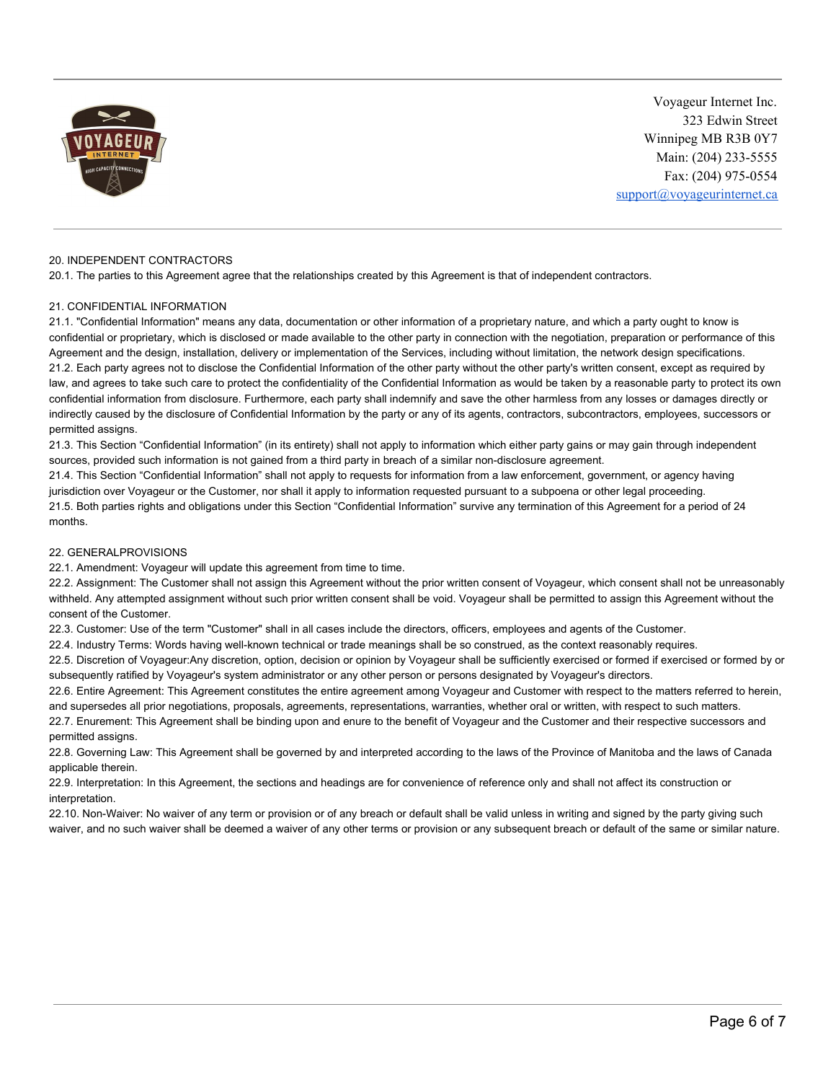

#### 20. INDEPENDENT CONTRACTORS

20.1. The parties to this Agreement agree that the relationships created by this Agreement is that of independent contractors.

### 21. CONFIDENTIAL INFORMATION

21.1. "Confidential Information" means any data, documentation or other information of a proprietary nature, and which a party ought to know is confidential or proprietary, which is disclosed or made available to the other party in connection with the negotiation, preparation or performance of this Agreement and the design, installation, delivery or implementation of the Services, including without limitation, the network design specifications. 21.2. Each party agrees not to disclose the Confidential Information of the other party without the other party's written consent, except as required by law, and agrees to take such care to protect the confidentiality of the Confidential Information as would be taken by a reasonable party to protect its own confidential information from disclosure. Furthermore, each party shall indemnify and save the other harmless from any losses or damages directly or indirectly caused by the disclosure of Confidential Information by the party or any of its agents, contractors, subcontractors, employees, successors or permitted assigns.

21.3. This Section "Confidential Information" (in its entirety) shall not apply to information which either party gains or may gain through independent sources, provided such information is not gained from a third party in breach of a similar non-disclosure agreement.

21.4. This Section "Confidential Information" shall not apply to requests for information from a law enforcement, government, or agency having jurisdiction over Voyageur or the Customer, nor shall it apply to information requested pursuant to a subpoena or other legal proceeding. 21.5. Both parties rights and obligations under this Section "Confidential Information" survive any termination of this Agreement for a period of 24 months.

### 22. GENERALPROVISIONS

22.1. Amendment: Voyageur will update this agreement from time to time.

22.2. Assignment: The Customer shall not assign this Agreement without the prior written consent of Voyageur, which consent shall not be unreasonably withheld. Any attempted assignment without such prior written consent shall be void. Voyageur shall be permitted to assign this Agreement without the consent of the Customer.

22.3. Customer: Use of the term "Customer" shall in all cases include the directors, officers, employees and agents of the Customer.

22.4. Industry Terms: Words having well-known technical or trade meanings shall be so construed, as the context reasonably requires.

22.5. Discretion of Voyageur:Any discretion, option, decision or opinion by Voyageur shall be sufficiently exercised or formed if exercised or formed by or subsequently ratified by Voyageur's system administrator or any other person or persons designated by Voyageur's directors.

22.6. Entire Agreement: This Agreement constitutes the entire agreement among Voyageur and Customer with respect to the matters referred to herein, and supersedes all prior negotiations, proposals, agreements, representations, warranties, whether oral or written, with respect to such matters. 22.7. Enurement: This Agreement shall be binding upon and enure to the benefit of Voyageur and the Customer and their respective successors and

permitted assigns.

22.8. Governing Law: This Agreement shall be governed by and interpreted according to the laws of the Province of Manitoba and the laws of Canada applicable therein.

22.9. Interpretation: In this Agreement, the sections and headings are for convenience of reference only and shall not affect its construction or interpretation.

22.10. Non-Waiver: No waiver of any term or provision or of any breach or default shall be valid unless in writing and signed by the party giving such waiver, and no such waiver shall be deemed a waiver of any other terms or provision or any subsequent breach or default of the same or similar nature.